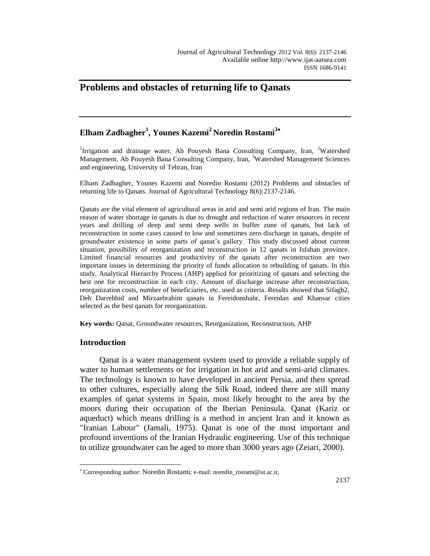# **Problems and obstacles of returning life to Qanats**

## **Elham Zadbagher<sup>1</sup> , Younes Kazemi<sup>2</sup>Noredin Rostami<sup>3</sup>**

<sup>1</sup>Irrigation and drainage water, Ab Pouyesh Bana Consulting Company, Iran, <sup>2</sup>Watershed Management, Ab Pouyesh Bana Consulting Company, Iran, <sup>3</sup>Watershed Management Sciences and engineering, University of Tehran, Iran

Elham Zadbagher, Younes Kazemi and Noredin Rostami (2012) Problems and obstacles of returning life to Qanats. Journal of Agricultural Technology 8(6):2137-2146.

Qanats are the vital element of agricultural areas in arid and semi arid regions of Iran. The main reason of water shortage in qanats is due to drought and reduction of water resources in recent years and drilling of deep and semi deep wells in buffer zone of qanats, but lack of reconstruction in some cases caused to low and sometimes zero discharge in qanats, despite of groundwater existence in some parts of qanat's gallery. This study discussed about current situation, possibility of reorganization and reconstruction in 12 qanats in Isfahan province. Limited financial resources and productivity of the qanats after reconstruction are two important issues in determining the priority of funds allocation to rebuilding of qanats. In this study, Analytical Hierarchy Process (AHP) applied for prioritizing of qanats and selecting the best one for reconstruction in each city. Amount of discharge increase after reconstruction, reorganization costs, number of beneficiaries, etc. used as criteria. Results showed that Sifagh2, Deh Darrehbid and Mirzaebrahim qanats in Fereidonshahr, Fereidan and Khansar cities selected as the best qanats for reorganization.

**Key words:** Qanat, Groundwater resources, Reorganization, Reconstruction, AHP

#### **Introduction**

 $\overline{a}$ 

Qanat is a water management system used to provide a reliable supply of water to human settlements or for irrigation in hot arid and semi-arid climates. The technology is known to have developed in ancient Persia, and then spread to other cultures, especially along the Silk Road, indeed there are still many examples of qanat systems in Spain, most likely brought to the area by the moors during their occupation of the Iberian Peninsula. Qanat (Kariz or aqueduct) which means drilling is a method in ancient Iran and it known as "Iranian Labour" (Jamali, 1975). Qanat is one of the most important and profound inventions of the Iranian Hydraulic engineering. Use of this technique to utilize groundwater can be aged to more than 3000 years ago (Zeiari, 2000).

Corresponding author: Noredin Rostami; e-mail: noredin\_rostami@ut.ac.ir,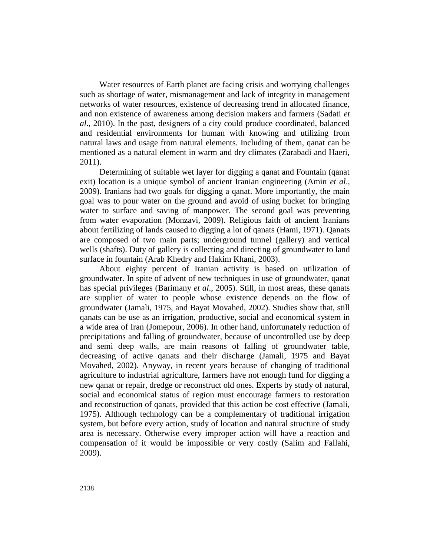Water resources of Earth planet are facing crisis and worrying challenges such as shortage of water, mismanagement and lack of integrity in management networks of water resources, existence of decreasing trend in allocated finance, and non existence of awareness among decision makers and farmers (Sadati *et al*., 2010). In the past, designers of a city could produce coordinated, balanced and residential environments for human with knowing and utilizing from natural laws and usage from natural elements. Including of them, qanat can be mentioned as a natural element in warm and dry climates (Zarabadi and Haeri, 2011).

Determining of suitable wet layer for digging a qanat and Fountain (qanat exit) location is a unique symbol of ancient Iranian engineering (Amin *et al*., 2009). Iranians had two goals for digging a qanat. More importantly, the main goal was to pour water on the ground and avoid of using bucket for bringing water to surface and saving of manpower. The second goal was preventing from water evaporation (Monzavi, 2009). Religious faith of ancient Iranians about fertilizing of lands caused to digging a lot of qanats (Hami, 1971). Qanats are composed of two main parts; underground tunnel (gallery) and vertical wells (shafts). Duty of gallery is collecting and directing of groundwater to land surface in fountain (Arab Khedry and Hakim Khani, 2003).

About eighty percent of Iranian activity is based on utilization of groundwater. In spite of advent of new techniques in use of groundwater, qanat has special privileges (Barimany *et al*., 2005). Still, in most areas, these qanats are supplier of water to people whose existence depends on the flow of groundwater (Jamali, 1975, and Bayat Movahed, 2002). Studies show that, still qanats can be use as an irrigation, productive, social and economical system in a wide area of Iran (Jomepour, 2006). In other hand, unfortunately reduction of precipitations and falling of groundwater, because of uncontrolled use by deep and semi deep walls, are main reasons of falling of groundwater table, decreasing of active qanats and their discharge (Jamali, 1975 and Bayat Movahed, 2002). Anyway, in recent years because of changing of traditional agriculture to industrial agriculture, farmers have not enough fund for digging a new qanat or repair, dredge or reconstruct old ones. Experts by study of natural, social and economical status of region must encourage farmers to restoration and reconstruction of qanats, provided that this action be cost effective (Jamali, 1975). Although technology can be a complementary of traditional irrigation system, but before every action, study of location and natural structure of study area is necessary. Otherwise every improper action will have a reaction and compensation of it would be impossible or very costly (Salim and Fallahi, 2009).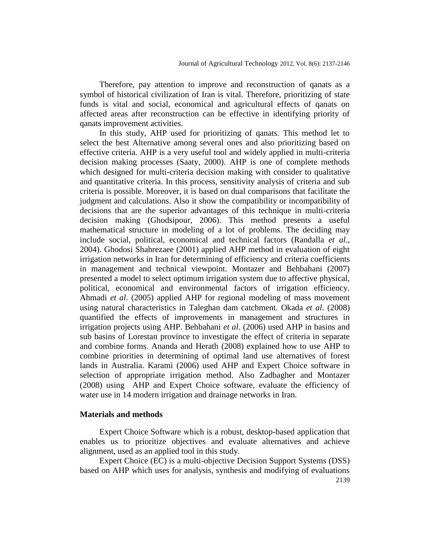Therefore, pay attention to improve and reconstruction of qanats as a symbol of historical civilization of Iran is vital. Therefore, prioritizing of state funds is vital and social, economical and agricultural effects of qanats on affected areas after reconstruction can be effective in identifying priority of qanats improvement activities.

In this study, AHP used for prioritizing of qanats. This method let to select the best Alternative among several ones and also prioritizing based on effective criteria. AHP is a very useful tool and widely applied in multi-criteria decision making processes (Saaty, 2000). AHP is one of complete methods which designed for multi-criteria decision making with consider to qualitative and quantitative criteria. In this process, sensitivity analysis of criteria and sub criteria is possible. Moreover, it is based on dual comparisons that facilitate the judgment and calculations. Also it show the compatibility or incompatibility of decisions that are the superior advantages of this technique in multi-criteria decision making (Ghodsipour, 2006). This method presents a useful mathematical structure in modeling of a lot of problems. The deciding may include social, political, economical and technical factors (Randalla *et al*., 2004). Ghodosi Shahrezaee (2001) applied AHP method in evaluation of eight irrigation networks in Iran for determining of efficiency and criteria coefficients in management and technical viewpoint. Montazer and Behbahani (2007) presented a model to select optimum irrigation system due to affective physical, political, economical and environmental factors of irrigation efficiency. Ahmadi *et al*. (2005) applied AHP for regional modeling of mass movement using natural characteristics in Taleghan dam catchment. Okada *et al*. (2008) quantified the effects of improvements in management and structures in irrigation projects using AHP. Behbahani *et al*. (2006) used AHP in basins and sub basins of Lorestan province to investigate the effect of criteria in separate and combine forms. Ananda and Herath (2008) explained how to use AHP to combine priorities in determining of optimal land use alternatives of forest lands in Australia. Karami (2006) used AHP and Expert Choice software in selection of appropriate irrigation method. Also Zadbagher and Montazer (2008) using AHP and Expert Choice software, evaluate the efficiency of water use in 14 modern irrigation and drainage networks in Iran.

### **Materials and methods**

Expert Choice Software which is a robust, desktop-based application that enables us to prioritize objectives and evaluate alternatives and achieve alignment, used as an applied tool in this study.

2139 Expert Choice (EC) is a multi-objective Decision Support Systems (DSS) based on AHP which uses for analysis, synthesis and modifying of evaluations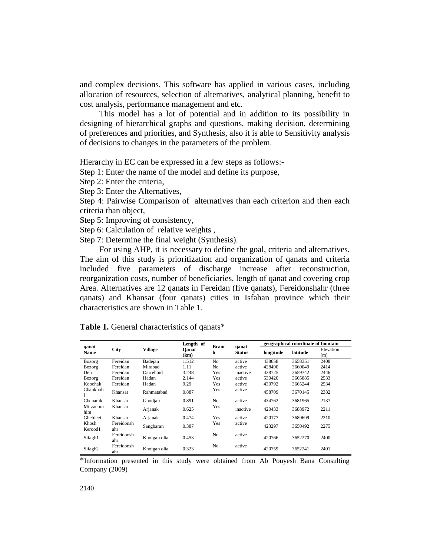and complex decisions. This software has applied in various cases, including allocation of resources, selection of alternatives, analytical planning, benefit to cost analysis, performance management and etc.

This model has a lot of potential and in addition to its possibility in designing of hierarchical graphs and questions, making decision, determining of preferences and priorities, and Synthesis, also it is able to Sensitivity analysis of decisions to changes in the parameters of the problem.

Hierarchy in EC can be expressed in a few steps as follows:-

Step 1: Enter the name of the model and define its purpose,

Step 2: Enter the criteria,

Step 3: Enter the Alternatives,

Step 4: Pairwise Comparison of alternatives than each criterion and then each criteria than object,

Step 5: Improving of consistency,

Step 6: Calculation of relative weights ,

Step 7: Determine the final weight (Synthesis).

For using AHP, it is necessary to define the goal, criteria and alternatives. The aim of this study is prioritization and organization of qanats and criteria included five parameters of discharge increase after reconstruction, reorganization costs, number of beneficiaries, length of qanat and covering crop Area. Alternatives are 12 qanats in Fereidan (five qanats), Fereidonshahr (three qanats) and Khansar (four qanats) cities in Isfahan province which their characteristics are shown in Table 1.

| qanat<br>Name       | <b>City</b>       | Village      | Length of<br>Oanat<br>(km) | <b>Branc</b><br>h | qanat<br><b>Status</b> | geographical coordinate of fountain |          |                  |
|---------------------|-------------------|--------------|----------------------------|-------------------|------------------------|-------------------------------------|----------|------------------|
|                     |                   |              |                            |                   |                        | longitude                           | latitude | Elevation<br>(m) |
| Bozorg              | Fereidan          | Badejan      | 1.512                      | N <sub>0</sub>    | active                 | 438658                              | 3658351  | 2408             |
| Bozorg              | Fereidan          | Mirabad      | 1.11                       | No                | active                 | 428490                              | 3660049  | 2414             |
| Deh                 | Fereidan          | Darrehbid    | 3.248                      | Yes               | inactive               | 438725                              | 3659742  | 2446             |
| Bozorg              | Fereidan          | Hadan        | 2.144                      | Yes               | active                 | 530420                              | 3665885  | 2533             |
| Koochak             | Fereidan          | Hadan        | 9.29                       | Yes               | active                 | 430792                              | 3665244  | 2534             |
| Chahkhali           | Khansar           | Rahmatabad   | 0.887                      | Yes               | active                 | 458709                              | 3670145  | 2382             |
| Chenarak            | Khansar           | Ghodian      | 0.891                      | N <sub>0</sub>    | active                 | 434762                              | 3681965  | 2137             |
| Mirzaebra<br>him    | Khansar           | Arjanak      | 0.625                      | Yes               | inactive               | 420433                              | 3688972  | 2211             |
| Ghebleei            | Khansar           | Arjanak      | 0.474                      | Yes               | active                 | 420177                              | 3689699  | 2210             |
| Khosh<br>Kerood1    | Fereidonsh<br>ahr | Sangbaran    | 0.387                      | Yes               | active                 | 423297                              | 3650492  | 2275             |
| Sifagh1             | Fereidonsh<br>ahr | Khoigan olia | 0.453                      | N <sub>0</sub>    | active                 | 420766                              | 3652270  | 2400             |
| Sifagh <sub>2</sub> | Fereidonsh<br>ahr | Khoigan olia | 0.323                      | No                | active                 | 420759                              | 3652241  | 2401             |

**Table 1.** General characteristics of qanats\*

\*Information presented in this study were obtained from Ab Pouyesh Bana Consulting Company (2009)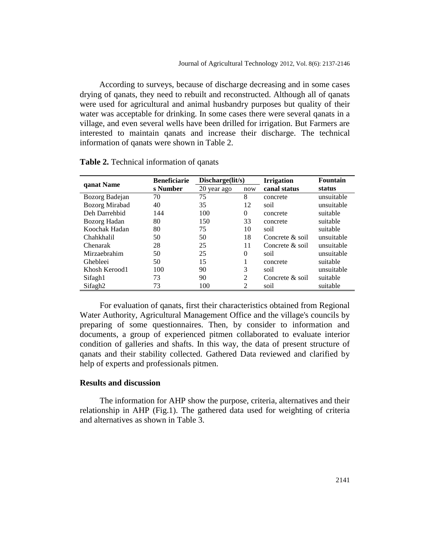According to surveys, because of discharge decreasing and in some cases drying of qanats, they need to rebuilt and reconstructed. Although all of qanats were used for agricultural and animal husbandry purposes but quality of their water was acceptable for drinking. In some cases there were several qanats in a village, and even several wells have been drilled for irrigation. But Farmers are interested to maintain qanats and increase their discharge. The technical information of qanats were shown in Table 2.

|                     | <b>Beneficiarie</b> | Discharge(lit/s) |                             | <b>Irrigation</b>  | <b>Fountain</b> |
|---------------------|---------------------|------------------|-----------------------------|--------------------|-----------------|
| qanat Name          | s Number            | 20 year ago      | now                         | canal status       | status          |
| Bozorg Badejan      | 70                  | 75               | 8                           | concrete           | unsuitable      |
| Bozorg Mirabad      | 40                  | 35               | 12                          | soil               | unsuitable      |
| Deh Darrehbid       | 144                 | 100              | $\Omega$                    | concrete           | suitable        |
| Bozorg Hadan        | 80                  | 150              | 33                          | concrete           | suitable        |
| Koochak Hadan       | 80                  | 75               | 10                          | soil               | suitable        |
| Chahkhalil          | 50                  | 50               | 18                          | Concrete $\&$ soil | unsuitable      |
| Chenarak            | 28                  | 25               | 11                          | Concrete $&$ soil  | unsuitable      |
| Mirzaebrahim        | 50                  | 25               | $\Omega$                    | soil               | unsuitable      |
| Ghebleei            | 50                  | 15               |                             | concrete           | suitable        |
| Khosh Kerood1       | 100                 | 90               | 3                           | soil               | unsuitable      |
| Sifagh1             | 73                  | 90               | 2                           | Concrete & soil    | suitable        |
| Sifagh <sub>2</sub> | 73                  | 100              | $\mathcal{D}_{\mathcal{L}}$ | soil               | suitable        |

**Table 2.** Technical information of qanats

For evaluation of qanats, first their characteristics obtained from Regional Water Authority, Agricultural Management Office and the village's councils by preparing of some questionnaires. Then, by consider to information and documents, a group of experienced pitmen collaborated to evaluate interior condition of galleries and shafts. In this way, the data of present structure of qanats and their stability collected. Gathered Data reviewed and clarified by help of experts and professionals pitmen.

### **Results and discussion**

The information for AHP show the purpose, criteria, alternatives and their relationship in AHP (Fig.1). The gathered data used for weighting of criteria and alternatives as shown in Table 3.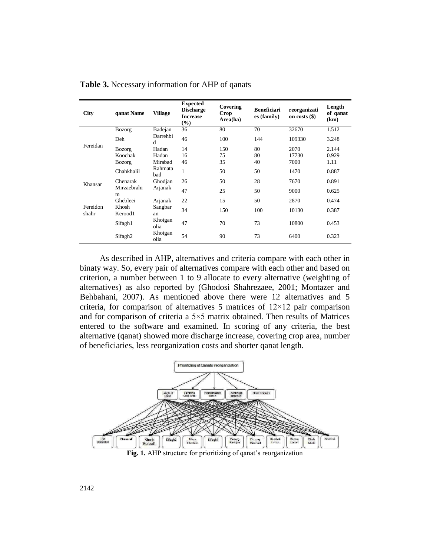| <b>City</b>       | qanat Name          | <b>Village</b>  | <b>Expected</b><br><b>Discharge</b><br><b>Increase</b><br>(%) | Covering<br>Crop<br>Area(ha) | <b>Beneficiari</b><br>es (family) | reorganizati<br>on costs $(\$)$ | Length<br>of qanat<br>(km) |
|-------------------|---------------------|-----------------|---------------------------------------------------------------|------------------------------|-----------------------------------|---------------------------------|----------------------------|
|                   | Bozorg              | Badejan         | 36                                                            | 80                           | 70                                | 32670                           | 1.512                      |
|                   | Deh                 | Darrehbi<br>d   | 46                                                            | 100                          | 144                               | 109330                          | 3.248                      |
| Fereidan          | Bozorg              | Hadan           | 14                                                            | 150                          | 80                                | 2070                            | 2.144                      |
|                   | Koochak             | Hadan           | 16                                                            | 75                           | 80                                | 17730                           | 0.929                      |
|                   | Bozorg              | Mirabad         | 46                                                            | 35                           | 40                                | 7000                            | 1.11                       |
|                   | Chahkhalil          | Rahmata<br>bad  | $\mathbf{1}$                                                  | 50                           | 50                                | 1470                            | 0.887                      |
| Khansar           | Chenarak            | Ghodian         | 26                                                            | 50                           | 28                                | 7670                            | 0.891                      |
|                   | Mirzaebrahi<br>m    | Arjanak         | 47                                                            | 25                           | 50                                | 9000                            | 0.625                      |
|                   | Ghebleei            | Arjanak         | 22                                                            | 15                           | 50                                | 2870                            | 0.474                      |
| Fereidon<br>shahr | Khosh<br>Kerood1    | Sangbar<br>an   | 34                                                            | 150                          | 100                               | 10130                           | 0.387                      |
|                   | Sifagh1             | Khoigan<br>olia | 47                                                            | 70                           | 73                                | 10800                           | 0.453                      |
|                   | Sifagh <sub>2</sub> | Khoigan<br>olia | 54                                                            | 90                           | 73                                | 6400                            | 0.323                      |

**Table 3.** Necessary information for AHP of qanats

As described in AHP, alternatives and criteria compare with each other in binaty way. So, every pair of alternatives compare with each other and based on criterion, a number between 1 to 9 allocate to every alternative (weighting of alternatives) as also reported by (Ghodosi Shahrezaee, 2001; Montazer and Behbahani, 2007). As mentioned above there were 12 alternatives and 5 criteria, for comparison of alternatives 5 matrices of  $12\times12$  pair comparison and for comparison of criteria a  $5\times 5$  matrix obtained. Then results of Matrices entered to the software and examined. In scoring of any criteria, the best alternative (qanat) showed more discharge increase, covering crop area, number of beneficiaries, less reorganization costs and shorter qanat length.



**Fig. 1.** AHP structure for prioritizing of qanat's reorganization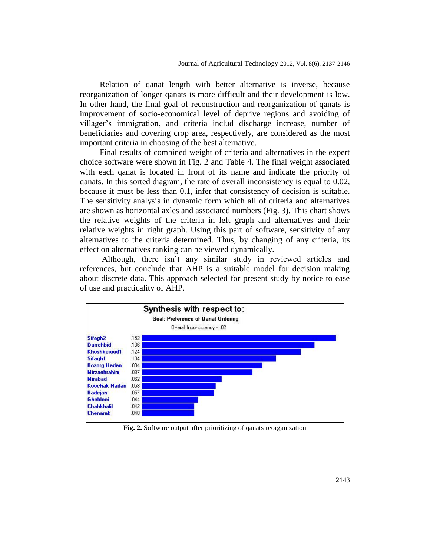Relation of qanat length with better alternative is inverse, because reorganization of longer qanats is more difficult and their development is low. In other hand, the final goal of reconstruction and reorganization of qanats is improvement of socio-economical level of deprive regions and avoiding of villager's immigration, and criteria includ discharge increase, number of beneficiaries and covering crop area, respectively, are considered as the most important criteria in choosing of the best alternative.

Final results of combined weight of criteria and alternatives in the expert choice software were shown in Fig. 2 and Table 4. The final weight associated with each qanat is located in front of its name and indicate the priority of qanats. In this sorted diagram, the rate of overall inconsistency is equal to 0.02, because it must be less than 0.1, infer that consistency of decision is suitable. The sensitivity analysis in dynamic form which all of criteria and alternatives are shown as horizontal axles and associated numbers (Fig. 3). This chart shows the relative weights of the criteria in left graph and alternatives and their relative weights in right graph. Using this part of software, sensitivity of any alternatives to the criteria determined. Thus, by changing of any criteria, its effect on alternatives ranking can be viewed dynamically.

Although, there isn't any similar study in reviewed articles and references, but conclude that AHP is a suitable model for decision making about discrete data. This approach selected for present study by notice to ease of use and practicality of AHP.



**Fig. 2.** Software output after prioritizing of qanats reorganization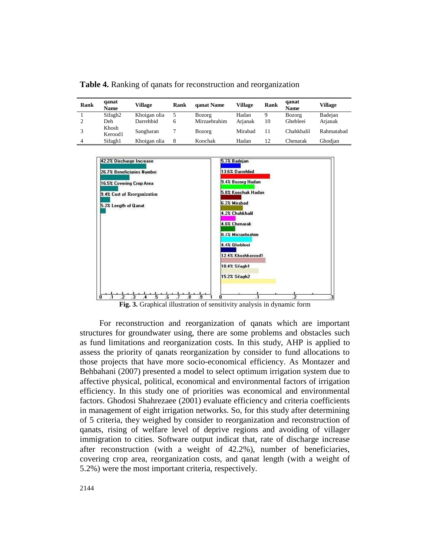**Table 4.** Ranking of qanats for reconstruction and reorganization

| Rank | qanat<br>Name       | Village      | Rank         | qanat Name    | Village | Rank | qanat<br><b>Name</b> | Village    |
|------|---------------------|--------------|--------------|---------------|---------|------|----------------------|------------|
|      | Sifagh <sub>2</sub> | Khoigan olia |              | <b>Bozorg</b> | Hadan   | 9    | Bozorg               | Badejan    |
|      | Deh                 | Darrehbid    | <sub>6</sub> | Mirzaebrahim  | Arianak | 10   | Ghebleei             | Arjanak    |
|      | Khosh<br>Kerood1    | Sangbaran    |              | <b>Bozorg</b> | Mirabad |      | Chahkhalil           | Rahmatabad |
| 4    | Sifagh1             | Khoigan olia | 8            | Koochak       | Hadan   | 12   | Chenarak             | Ghodian    |



**Fig. 3.** Graphical illustration of sensitivity analysis in dynamic form

For reconstruction and reorganization of qanats which are important structures for groundwater using, there are some problems and obstacles such as fund limitations and reorganization costs. In this study, AHP is applied to assess the priority of qanats reorganization by consider to fund allocations to those projects that have more socio-economical efficiency. As Montazer and Behbahani (2007) presented a model to select optimum irrigation system due to affective physical, political, economical and environmental factors of irrigation efficiency. In this study one of priorities was economical and environmental factors. Ghodosi Shahrezaee (2001) evaluate efficiency and criteria coefficients in management of eight irrigation networks. So, for this study after determining of 5 criteria, they weighed by consider to reorganization and reconstruction of qanats, rising of welfare level of deprive regions and avoiding of villager immigration to cities. Software output indicat that, rate of discharge increase after reconstruction (with a weight of 42.2%), number of beneficiaries, covering crop area, reorganization costs, and qanat length (with a weight of 5.2%) were the most important criteria, respectively.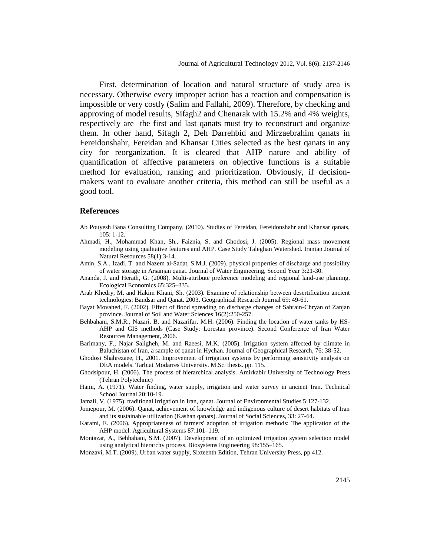First, determination of location and natural structure of study area is necessary. Otherwise every improper action has a reaction and compensation is impossible or very costly (Salim and Fallahi, 2009). Therefore, by checking and approving of model results, Sifagh2 and Chenarak with 15.2% and 4% weights, respectively are the first and last qanats must try to reconstruct and organize them. In other hand, Sifagh 2, Deh Darrehbid and Mirzaebrahim qanats in Fereidonshahr, Fereidan and Khansar Cities selected as the best qanats in any city for reorganization. It is cleared that AHP nature and ability of quantification of affective parameters on objective functions is a suitable method for evaluation, ranking and prioritization. Obviously, if decisionmakers want to evaluate another criteria, this method can still be useful as a good tool.

#### **References**

- Ab Pouyesh Bana Consulting Company, (2010). Studies of Fereidan, Fereidonshahr and Khansar qanats, 105: 1-12.
- Ahmadi, H., Mohammad Khan, Sh., Faiznia, S. and Ghodosi, J. (2005). Regional mass movement modeling using qualitative features and AHP. Case Study Taleghan Watershed. Iranian Journal of Natural Resources 58(1):3-14.
- Amin, S.A., Izadi, T. and Nazem al-Sadat, S.M.J. (2009). physical properties of discharge and possibility of water storage in Arsanjan qanat. Journal of Water Engineering, Second Year 3:21-30.
- Ananda, J. and Herath, G. (2008). Multi-attribute preference modeling and regional land-use planning. Ecological Economics 65:325–335.
- Arab Khedry, M. and Hakim Khani, Sh. (2003). Examine of relationship between desertification ancient technologies: Bandsar and Qanat. 2003. Geographical Research Journal 69: 49-61.
- Bayat Movahed, F. (2002). Effect of flood spreading on discharge changes of Sahrain-Chryan of Zanjan province. Journal of Soil and Water Sciences 16(2):250-257.
- Behbahani, S.M.R., Nazari, B. and Nazarifar, M.H. (2006). Finding the location of water tanks by HS-AHP and GIS methods (Case Study: Lorestan province). Second Conference of Iran Water Resources Management, 2006.
- Barimany, F., Najar Saligheh, M. and Raeesi, M.K. (2005). Irrigation system affected by climate in Baluchistan of Iran, a sample of qanat in Hychan. Journal of Geographical Research, 76: 38-52.
- Ghodosi Shahrezaee, H., 2001. Improvement of irrigation systems by performing sensitivity analysis on DEA models. Tarbiat Modarres University. M.Sc. thesis. pp. 115.
- Ghodsipour, H. (2006). The process of hierarchical analysis. Amirkabir University of Technology Press (Tehran Polytechnic)
- Hami, A. (1971). Water finding, water supply, irrigation and water survey in ancient Iran. Technical School Journal 20:10-19.
- Jamali, V. (1975). traditional irrigation in Iran, qanat. Journal of Environmental Studies 5:127-132.
- Jomepour, M. (2006). Qanat, achievement of knowledge and indigenous culture of desert habitats of Iran and its sustainable utilization (Kashan qanats). Journal of Social Sciences, 33: 27-64.
- Karami, E. (2006). Appropriateness of farmers' adoption of irrigation methods: The application of the AHP model. Agricultural Systems 87:101–119.
- Montazar, A., Behbahani, S.M. (2007). Development of an optimized irrigation system selection model using analytical hierarchy process. Biosystems Engineering 98:155–165.
- Monzavi, M.T. (2009). Urban water supply, Sixteenth Edition, Tehran University Press, pp 412.